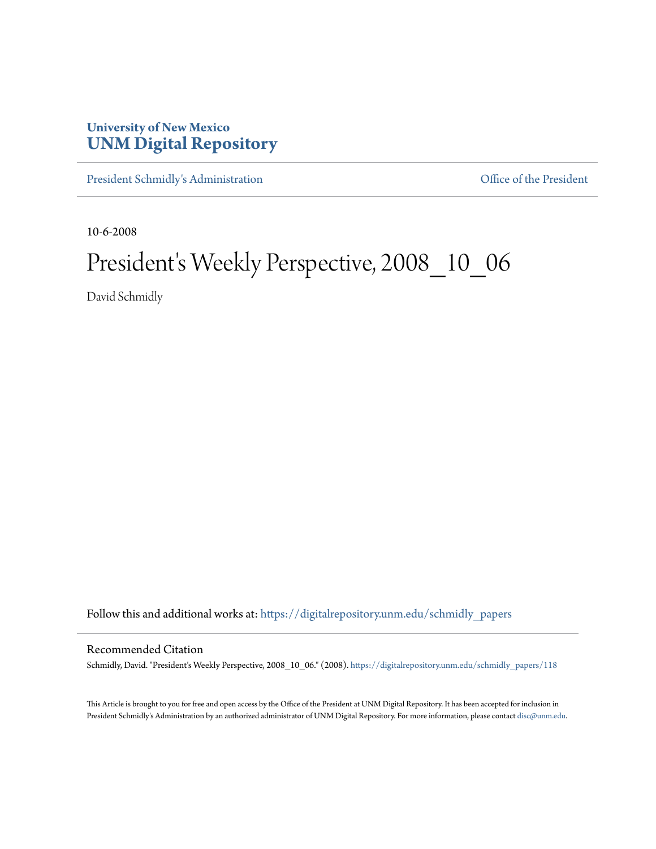## **University of New Mexico [UNM Digital Repository](https://digitalrepository.unm.edu?utm_source=digitalrepository.unm.edu%2Fschmidly_papers%2F118&utm_medium=PDF&utm_campaign=PDFCoverPages)**

[President Schmidly's Administration](https://digitalrepository.unm.edu/schmidly_papers?utm_source=digitalrepository.unm.edu%2Fschmidly_papers%2F118&utm_medium=PDF&utm_campaign=PDFCoverPages) [Office of the President](https://digitalrepository.unm.edu/ofc_president?utm_source=digitalrepository.unm.edu%2Fschmidly_papers%2F118&utm_medium=PDF&utm_campaign=PDFCoverPages)

10-6-2008

## President's Weekly Perspective, 2008\_10\_06

David Schmidly

Follow this and additional works at: [https://digitalrepository.unm.edu/schmidly\\_papers](https://digitalrepository.unm.edu/schmidly_papers?utm_source=digitalrepository.unm.edu%2Fschmidly_papers%2F118&utm_medium=PDF&utm_campaign=PDFCoverPages)

## Recommended Citation

Schmidly, David. "President's Weekly Perspective, 2008\_10\_06." (2008). [https://digitalrepository.unm.edu/schmidly\\_papers/118](https://digitalrepository.unm.edu/schmidly_papers/118?utm_source=digitalrepository.unm.edu%2Fschmidly_papers%2F118&utm_medium=PDF&utm_campaign=PDFCoverPages)

This Article is brought to you for free and open access by the Office of the President at UNM Digital Repository. It has been accepted for inclusion in President Schmidly's Administration by an authorized administrator of UNM Digital Repository. For more information, please contact [disc@unm.edu](mailto:disc@unm.edu).